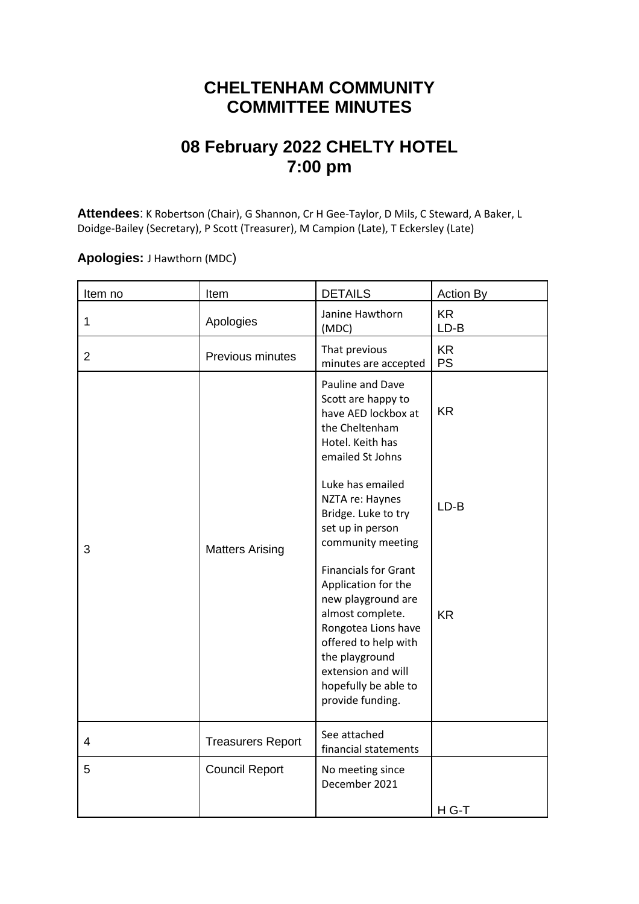## **CHELTENHAM COMMUNITY COMMITTEE MINUTES**

## **08 February 2022 CHELTY HOTEL 7:00 pm**

**Attendees**: K Robertson (Chair), G Shannon, Cr H Gee-Taylor, D Mils, C Steward, A Baker, L Doidge-Bailey (Secretary), P Scott (Treasurer), M Campion (Late), T Eckersley (Late)

## **Apologies:** J Hawthorn (MDC)

| Item no | Item                     | <b>DETAILS</b>                                                                                                                                                                                                                  | <b>Action By</b>       |
|---------|--------------------------|---------------------------------------------------------------------------------------------------------------------------------------------------------------------------------------------------------------------------------|------------------------|
| 1       | Apologies                | Janine Hawthorn<br>(MDC)                                                                                                                                                                                                        | <b>KR</b><br>$LD-B$    |
| 2       | Previous minutes         | That previous<br>minutes are accepted                                                                                                                                                                                           | <b>KR</b><br><b>PS</b> |
|         |                          | Pauline and Dave<br>Scott are happy to<br>have AED lockbox at<br>the Cheltenham<br>Hotel. Keith has<br>emailed St Johns                                                                                                         | <b>KR</b>              |
| 3       | <b>Matters Arising</b>   | Luke has emailed<br>NZTA re: Haynes<br>Bridge. Luke to try<br>set up in person<br>community meeting                                                                                                                             | $LD-B$                 |
|         |                          | <b>Financials for Grant</b><br>Application for the<br>new playground are<br>almost complete.<br>Rongotea Lions have<br>offered to help with<br>the playground<br>extension and will<br>hopefully be able to<br>provide funding. | <b>KR</b>              |
| 4       | <b>Treasurers Report</b> | See attached<br>financial statements                                                                                                                                                                                            |                        |
| 5       | <b>Council Report</b>    | No meeting since<br>December 2021                                                                                                                                                                                               |                        |
|         |                          |                                                                                                                                                                                                                                 | $H G-T$                |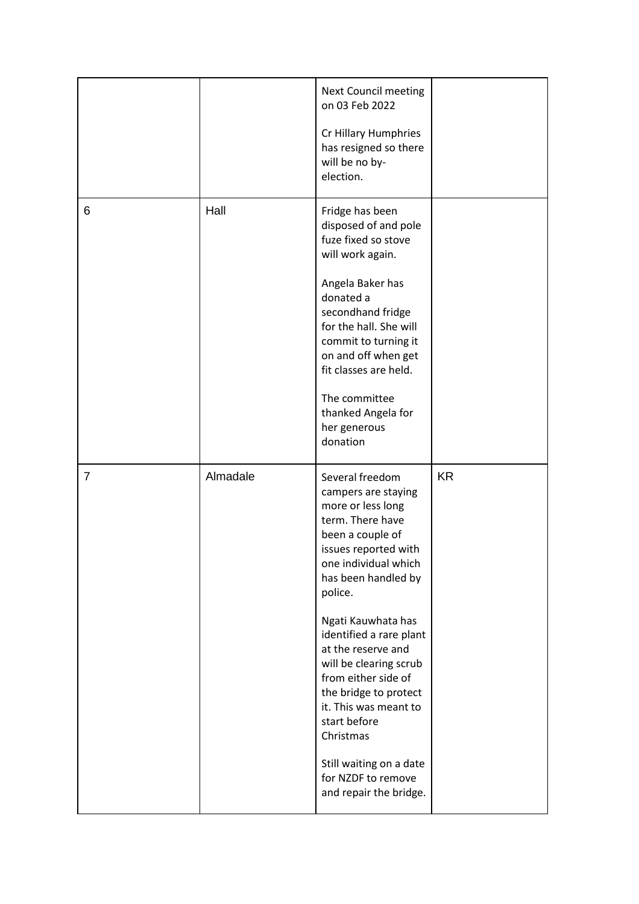|   |          | Next Council meeting<br>on 03 Feb 2022<br>Cr Hillary Humphries<br>has resigned so there<br>will be no by-<br>election.                                                                                                                                                                                                                                                                                                                                                  |           |
|---|----------|-------------------------------------------------------------------------------------------------------------------------------------------------------------------------------------------------------------------------------------------------------------------------------------------------------------------------------------------------------------------------------------------------------------------------------------------------------------------------|-----------|
| 6 | Hall     | Fridge has been<br>disposed of and pole<br>fuze fixed so stove<br>will work again.<br>Angela Baker has<br>donated a<br>secondhand fridge<br>for the hall. She will<br>commit to turning it<br>on and off when get<br>fit classes are held.<br>The committee<br>thanked Angela for<br>her generous<br>donation                                                                                                                                                           |           |
| 7 | Almadale | Several freedom<br>campers are staying<br>more or less long<br>term. There have<br>been a couple of<br>issues reported with<br>one individual which<br>has been handled by<br>police.<br>Ngati Kauwhata has<br>identified a rare plant<br>at the reserve and<br>will be clearing scrub<br>from either side of<br>the bridge to protect<br>it. This was meant to<br>start before<br>Christmas<br>Still waiting on a date<br>for NZDF to remove<br>and repair the bridge. | <b>KR</b> |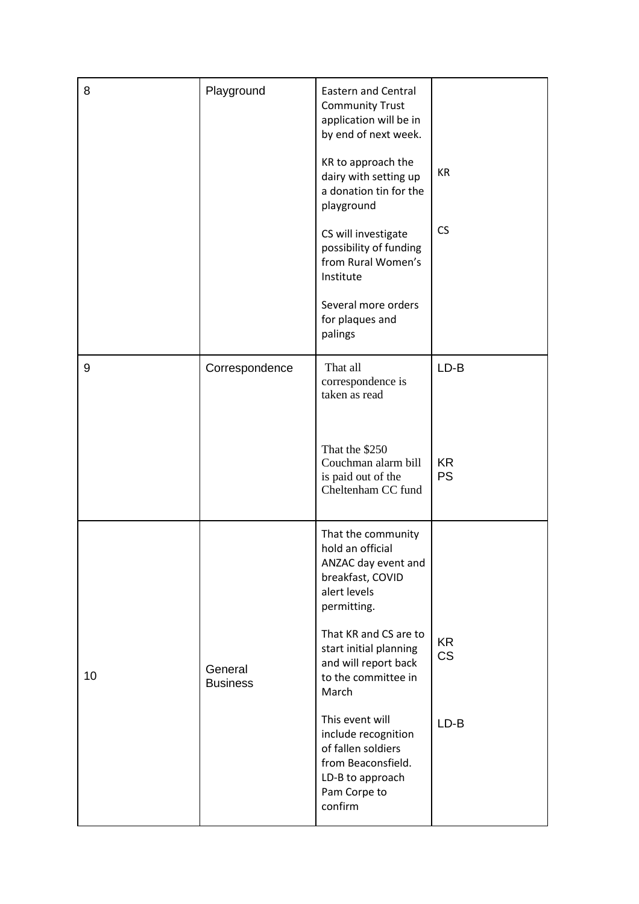| 8  | Playground                 | <b>Eastern and Central</b><br><b>Community Trust</b><br>application will be in<br>by end of next week.<br>KR to approach the<br>dairy with setting up<br>a donation tin for the<br>playground<br>CS will investigate<br>possibility of funding<br>from Rural Women's<br>Institute<br>Several more orders<br>for plaques and<br>palings                           | <b>KR</b><br>CS                  |
|----|----------------------------|------------------------------------------------------------------------------------------------------------------------------------------------------------------------------------------------------------------------------------------------------------------------------------------------------------------------------------------------------------------|----------------------------------|
| 9  | Correspondence             | That all<br>correspondence is<br>taken as read<br>That the \$250<br>Couchman alarm bill<br>is paid out of the<br>Cheltenham CC fund                                                                                                                                                                                                                              | $LD-B$<br>KR<br><b>PS</b>        |
| 10 | General<br><b>Business</b> | That the community<br>hold an official<br>ANZAC day event and<br>breakfast, COVID<br>alert levels<br>permitting.<br>That KR and CS are to<br>start initial planning<br>and will report back<br>to the committee in<br>March<br>This event will<br>include recognition<br>of fallen soldiers<br>from Beaconsfield.<br>LD-B to approach<br>Pam Corpe to<br>confirm | <b>KR</b><br><b>CS</b><br>$LD-B$ |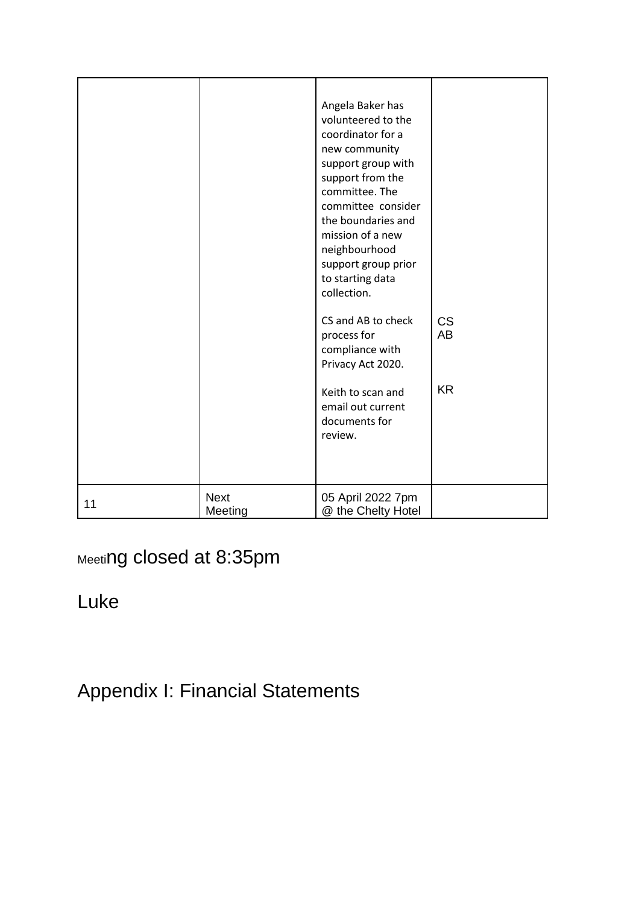|    |                        | Angela Baker has<br>volunteered to the<br>coordinator for a<br>new community<br>support group with<br>support from the<br>committee. The<br>committee consider<br>the boundaries and<br>mission of a new<br>neighbourhood<br>support group prior<br>to starting data<br>collection.<br>CS and AB to check<br>process for<br>compliance with<br>Privacy Act 2020.<br>Keith to scan and<br>email out current<br>documents for<br>review. | <b>CS</b><br>AB<br><b>KR</b> |
|----|------------------------|----------------------------------------------------------------------------------------------------------------------------------------------------------------------------------------------------------------------------------------------------------------------------------------------------------------------------------------------------------------------------------------------------------------------------------------|------------------------------|
| 11 | <b>Next</b><br>Meeting | 05 April 2022 7pm<br>@ the Chelty Hotel                                                                                                                                                                                                                                                                                                                                                                                                |                              |

Meeting closed at 8:35pm

Luke

## Appendix I: Financial Statements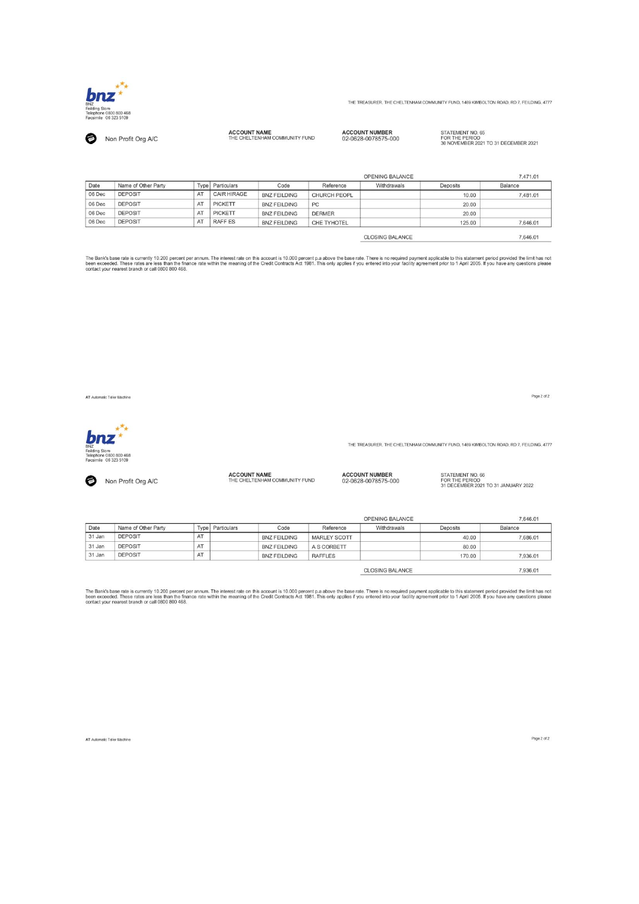

THE TREASURER, THE CHELTENHAM COMMUNITY FUND, 1469 KIMBOLTON ROAD, RD 7, FEILDING, 4777

Non Profit Org A/C

ACCOUNT NAME<br>THE CHELTENHAM COMMUNITY FUND

**ACCOUNT NUMBER**<br>02-0628-0078575-000

STATEMENT NO. 65<br>FOR THE PERIOD<br>30 NOVEMBER 2021 TO 31 DECEMBER 2021

|        |                     |      |                    |                     |               | OPENING BALANCE        |          | 7,471.01 |
|--------|---------------------|------|--------------------|---------------------|---------------|------------------------|----------|----------|
| Date   | Name of Other Party | Type | Particulars        | Code                | Reference     | Withdrawals            | Deposits | Balance  |
| 06 Dec | <b>DEPOSIT</b>      | AT   | <b>CAIR HIRAGE</b> | <b>BNZ FEILDING</b> | CHURCH PEOPL  |                        | 10.00    | 7,481.01 |
| 06 Dec | <b>DEPOSIT</b>      | AT   | PICKETT            | <b>BNZ FEILDING</b> | PC            |                        | 20.00    |          |
| 06 Dec | <b>DEPOSIT</b>      | AT   | PICKETT            | <b>BNZ FEILDING</b> | <b>DERMER</b> |                        | 20.00    |          |
| 06 Dec | <b>DEPOSIT</b>      | AT   | <b>RAFF ES</b>     | <b>BNZ FEILDING</b> | CHE TYHOTEL   |                        | 125.00   | 7,646.01 |
|        |                     |      |                    |                     |               | <b>CLOSING BALANCE</b> |          | 7,646.01 |

The Bank's base rate is currently 10.200 percent per annum. The interest rate on this account is 10.000 percent p.a above the base rate. There is no required payment applicable to this statement period provided the limit h

AT Automatic Teller Machine



THE TREASURER, THE CHELTENHAM COMMUNITY FUND, 1469 KIMBOLTON ROAD, RD 7, FEILDING, 4777

Non Profit Org A/C

**ACCOUNT NAME**<br>THE CHELTENHAM COMMUNITY FUND

**ACCOUNT NUMBER**<br>02-0628-0078575-000

STATEMENT NO. 66<br>FOR THE PERIOD<br>31 DECEMBER 2021 TO 31 JANUARY 2022

|                     |    |             |                     |                | OPENING BALANCE |                        | 7,646.01 |
|---------------------|----|-------------|---------------------|----------------|-----------------|------------------------|----------|
| Name of Other Party |    | Particulars | Code                | Reference      | Withdrawals     | Deposits               | Balance  |
| <b>DEPOSIT</b>      | AT |             | <b>BNZ FEILDING</b> | MARLEY SCOTT   |                 | 40.00                  | 7,686.01 |
| <b>DEPOSIT</b>      | AT |             | <b>BNZ FEILDING</b> | A S CORBETT    |                 | 80.00                  |          |
| <b>DEPOSIT</b>      | AT |             | <b>BNZ FEILDING</b> | <b>RAFFLES</b> |                 | 170.00                 | 7,936.01 |
|                     |    |             |                     |                |                 |                        | 7,936.01 |
|                     |    |             | <b>Type</b>         |                |                 | <b>CLOSING BALANCE</b> |          |

The Bank's base rate is currently 10.200 percent per annum. The interest rate on this account is 10.000 percent p.a above the base rate. There is no required payment applicable to this statement period provided the limit h

Page 2 of 2